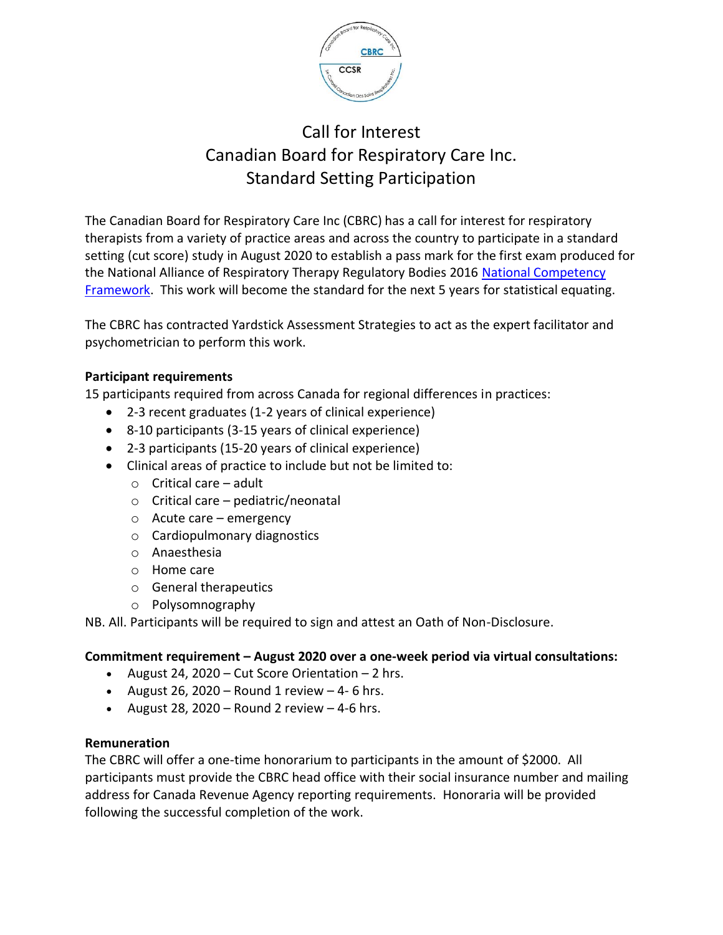

# Call for Interest Canadian Board for Respiratory Care Inc. Standard Setting Participation

The Canadian Board for Respiratory Care Inc (CBRC) has a call for interest for respiratory therapists from a variety of practice areas and across the country to participate in a standard setting (cut score) study in August 2020 to establish a pass mark for the first exam produced for the National Alliance of Respiratory Therapy Regulatory Bodies 2016 National [Competency](https://nartrb.ca/national-competency-profileframework/) [Framework.](https://nartrb.ca/national-competency-profileframework/) This work will become the standard for the next 5 years for statistical equating.

The CBRC has contracted Yardstick Assessment Strategies to act as the expert facilitator and psychometrician to perform this work.

## **Participant requirements**

15 participants required from across Canada for regional differences in practices:

- 2-3 recent graduates (1-2 years of clinical experience)
- 8-10 participants (3-15 years of clinical experience)
- 2-3 participants (15-20 years of clinical experience)
- Clinical areas of practice to include but not be limited to:
	- o Critical care adult
	- o Critical care pediatric/neonatal
	- o Acute care emergency
	- o Cardiopulmonary diagnostics
	- o Anaesthesia
	- o Home care
	- o General therapeutics
	- o Polysomnography

NB. All. Participants will be required to sign and attest an Oath of Non-Disclosure.

## **Commitment requirement – August 2020 over a one-week period via virtual consultations:**

- August 24, 2020 Cut Score Orientation 2 hrs.
- August 26, 2020 Round 1 review  $-4$ -6 hrs.
- August 28, 2020 Round 2 review  $-4-6$  hrs.

#### **Remuneration**

The CBRC will offer a one-time honorarium to participants in the amount of \$2000. All participants must provide the CBRC head office with their social insurance number and mailing address for Canada Revenue Agency reporting requirements. Honoraria will be provided following the successful completion of the work.